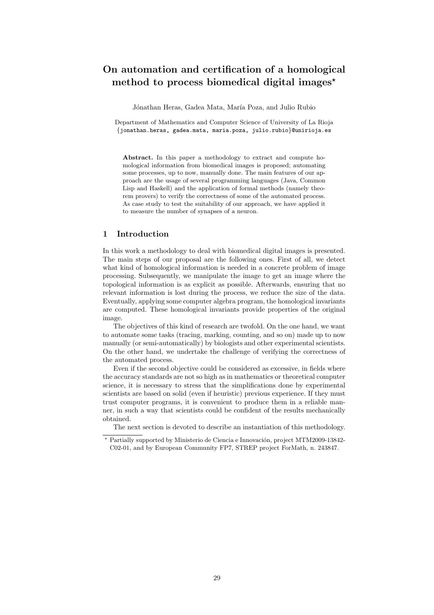## On automation and certification of a homological method to process biomedical digital images<sup> $\star$ </sup>

Jónathan Heras, Gadea Mata, María Poza, and Julio Rubio

Department of Mathematics and Computer Science of University of La Rioja *{*jonathan.heras, gadea.mata, maria.poza, julio.rubio*}*@unirioja.es

Abstract. In this paper a methodology to extract and compute homological information from biomedical images is proposed; automating some processes, up to now, manually done. The main features of our approach are the usage of several programming languages (Java, Common Lisp and Haskell) and the application of formal methods (namely theorem provers) to verify the correctness of some of the automated process. As case study to test the suitability of our approach, we have applied it to measure the number of synapses of a neuron.

## 1 Introduction

In this work a methodology to deal with biomedical digital images is presented. The main steps of our proposal are the following ones. First of all, we detect what kind of homological information is needed in a concrete problem of image processing. Subsequently, we manipulate the image to get an image where the topological information is as explicit as possible. Afterwards, ensuring that no relevant information is lost during the process, we reduce the size of the data. Eventually, applying some computer algebra program, the homological invariants are computed. These homological invariants provide properties of the original image.

The objectives of this kind of research are twofold. On the one hand, we want to automate some tasks (tracing, marking, counting, and so on) made up to now manually (or semi-automatically) by biologists and other experimental scientists. On the other hand, we undertake the challenge of verifying the correctness of the automated process.

Even if the second objective could be considered as excessive, in fields where the accuracy standards are not so high as in mathematics or theoretical computer science, it is necessary to stress that the simplifications done by experimental scientists are based on solid (even if heuristic) previous experience. If they must trust computer programs, it is convenient to produce them in a reliable manner, in such a way that scientists could be confident of the results mechanically obtained.

The next section is devoted to describe an instantiation of this methodology.

Partially supported by Ministerio de Ciencia e Innovación, project MTM2009-13842-C02-01, and by European Community FP7, STREP project ForMath, n. 243847.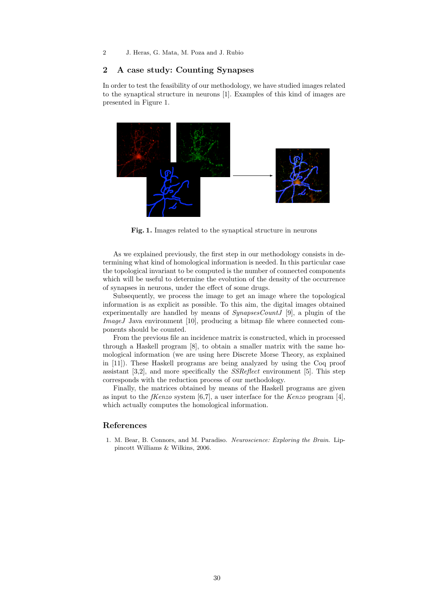2 J. Heras, G. Mata, M. Poza and J. Rubio

## 2 A case study: Counting Synapses

In order to test the feasibility of our methodology, we have studied images related to the synaptical structure in neurons [1]. Examples of this kind of images are presented in Figure 1.



Fig. 1. Images related to the synaptical structure in neurons

As we explained previously, the first step in our methodology consists in determining what kind of homological information is needed. In this particular case the topological invariant to be computed is the number of connected components which will be useful to determine the evolution of the density of the occurrence of synapses in neurons, under the effect of some drugs.

Subsequently, we process the image to get an image where the topological information is as explicit as possible. To this aim, the digital images obtained experimentally are handled by means of *SynapsesCountJ* [9], a plugin of the *ImageJ* Java environment [10], producing a bitmap file where connected components should be counted.

From the previous file an incidence matrix is constructed, which in processed through a Haskell program [8], to obtain a smaller matrix with the same homological information (we are using here Discrete Morse Theory, as explained in [11]). These Haskell programs are being analyzed by using the Coq proof assistant [3,2], and more specifically the *SSReflect* environment [5]. This step corresponds with the reduction process of our methodology.

Finally, the matrices obtained by means of the Haskell programs are given as input to the *fKenzo* system [6,7], a user interface for the *Kenzo* program [4], which actually computes the homological information.

## References

1. M. Bear, B. Connors, and M. Paradiso. *Neuroscience: Exploring the Brain*. Lippincott Williams & Wilkins, 2006.